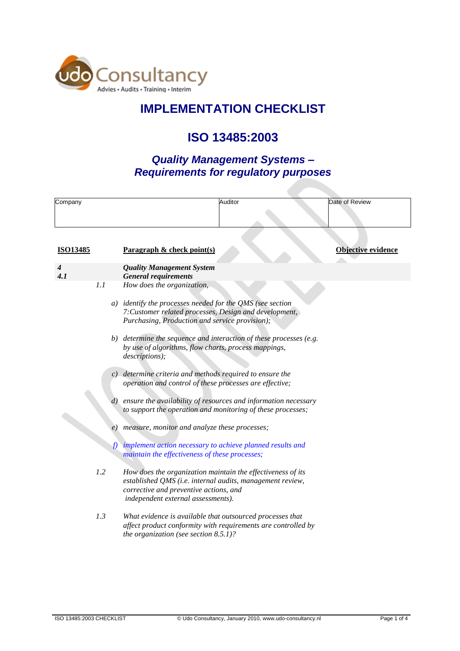

# **IMPLEMENTATION CHECKLIST**

# **ISO 13485:2003**

## *Quality Management Systems – Requirements for regulatory purposes*

| Company         |                                                                                                                                                                                                          | Auditor | Date of Review     |
|-----------------|----------------------------------------------------------------------------------------------------------------------------------------------------------------------------------------------------------|---------|--------------------|
|                 |                                                                                                                                                                                                          |         |                    |
|                 |                                                                                                                                                                                                          |         |                    |
| <b>ISO13485</b> | Paragraph $\&$ check point(s)                                                                                                                                                                            |         | Objective evidence |
| 4<br>4.1        | <b>Quality Management System</b><br><b>General requirements</b>                                                                                                                                          |         |                    |
| 1.1             | How does the organization,                                                                                                                                                                               |         |                    |
|                 | a) identify the processes needed for the QMS (see section<br>7: Customer related processes, Design and development,<br>Purchasing, Production and service provision);                                    |         |                    |
|                 | b) determine the sequence and interaction of these processes (e.g.<br>by use of algorithms, flow charts, process mappings,<br>descriptions);                                                             |         |                    |
|                 | c) determine criteria and methods required to ensure the<br>operation and control of these processes are effective;                                                                                      |         |                    |
|                 | ensure the availability of resources and information necessary<br>d)<br>to support the operation and monitoring of these processes;                                                                      |         |                    |
|                 | measure, monitor and analyze these processes;<br>$\epsilon$ )                                                                                                                                            |         |                    |
|                 | implement action necessary to achieve planned results and<br>f<br>maintain the effectiveness of these processes;                                                                                         |         |                    |
| 1.2             | How does the organization maintain the effectiveness of its<br>established QMS (i.e. internal audits, management review,<br>corrective and preventive actions, and<br>independent external assessments). |         |                    |
| 1.3             | What evidence is available that outsourced processes that<br>affect product conformity with requirements are controlled by<br>the organization (see section $8.5.1$ )?                                   |         |                    |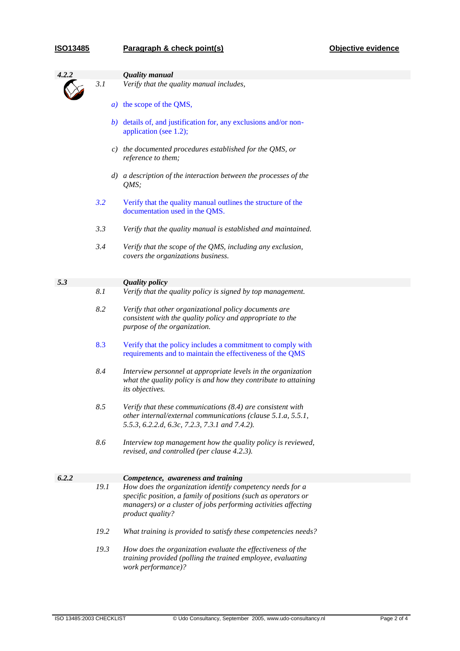### **ISO13485 Paragraph & check point(s) Objective evidence**

| 4.2.2 |      |    | <b>Quality manual</b>                                                                                                                                                                                             |
|-------|------|----|-------------------------------------------------------------------------------------------------------------------------------------------------------------------------------------------------------------------|
|       | 3.1  |    | Verify that the quality manual includes,                                                                                                                                                                          |
|       |      |    | <i>a</i> ) the scope of the QMS,                                                                                                                                                                                  |
|       |      | b) | details of, and justification for, any exclusions and/or non-<br>application (see 1.2);                                                                                                                           |
|       |      |    | $c)$ the documented procedures established for the QMS, or<br>reference to them;                                                                                                                                  |
|       |      |    | d) a description of the interaction between the processes of the<br>$QMS$ ;                                                                                                                                       |
|       | 3.2  |    | Verify that the quality manual outlines the structure of the<br>documentation used in the QMS.                                                                                                                    |
|       | 3.3  |    | Verify that the quality manual is established and maintained.                                                                                                                                                     |
|       | 3.4  |    | Verify that the scope of the QMS, including any exclusion,<br>covers the organizations business.                                                                                                                  |
| 5.3   |      |    | <b>Quality policy</b>                                                                                                                                                                                             |
|       | 8.1  |    | Verify that the quality policy is signed by top management.                                                                                                                                                       |
|       | 8.2  |    | Verify that other organizational policy documents are<br>consistent with the quality policy and appropriate to the<br>purpose of the organization.                                                                |
|       | 8.3  |    | Verify that the policy includes a commitment to comply with<br>requirements and to maintain the effectiveness of the QMS                                                                                          |
|       | 8.4  |    | Interview personnel at appropriate levels in the organization<br>what the quality policy is and how they contribute to attaining<br>its objectives.                                                               |
|       | 8.5  |    | Verify that these communications (8.4) are consistent with<br>other internal/external communications (clause 5.1.a, 5.5.1,<br>5.5.3, 6.2.2.d, 6.3c, 7.2.3, 7.3.1 and 7.4.2).                                      |
|       | 8.6  |    | Interview top management how the quality policy is reviewed,<br>revised, and controlled (per clause 4.2.3).                                                                                                       |
| 6.2.2 |      |    | Competence, awareness and training                                                                                                                                                                                |
|       | 19.1 |    | How does the organization identify competency needs for a<br>specific position, a family of positions (such as operators or<br>managers) or a cluster of jobs performing activities affecting<br>product quality? |
|       | 19.2 |    | What training is provided to satisfy these competencies needs?                                                                                                                                                    |
|       | 19.3 |    | How does the organization evaluate the effectiveness of the<br>training provided (polling the trained employee, evaluating<br>work performance)?                                                                  |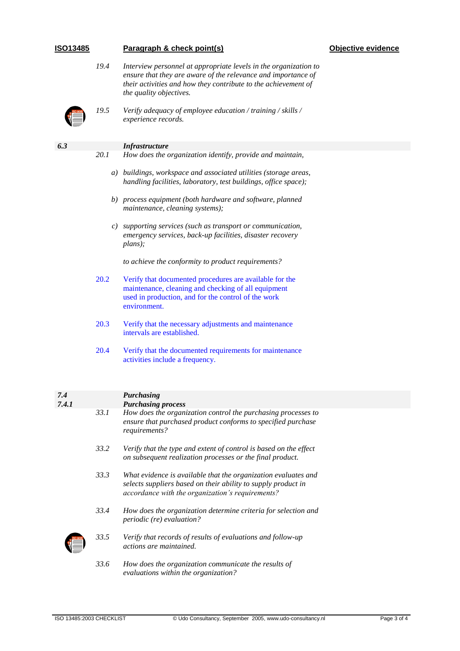## **ISO13485 Paragraph & check point(s) Objective evidence** *19.4 Interview personnel at appropriate levels in the organization to ensure that they are aware of the relevance and importance of their activities and how they contribute to the achievement of the quality objectives. 19.5 Verify adequacy of employee education / training / skills / experience records. 6.3 Infrastructure 20.1 How does the organization identify, provide and maintain, a) buildings, workspace and associated utilities (storage areas,*

*b) process equipment (both hardware and software, planned maintenance, cleaning systems);*

*handling facilities, laboratory, test buildings, office space);*

*c) supporting services (such as transport or communication, emergency services, back-up facilities, disaster recovery plans);*

*to achieve the conformity to product requirements?*

- 20.2 Verify that documented procedures are available for the maintenance, cleaning and checking of all equipment used in production, and for the control of the work environment.
- 20.3 Verify that the necessary adjustments and maintenance intervals are established.
- 20.4 Verify that the documented requirements for maintenance activities include a frequency.

| 7.4<br>7.4.1 |             | <b>Purchasing</b><br><b>Purchasing process</b>                                                                                                                                      |
|--------------|-------------|-------------------------------------------------------------------------------------------------------------------------------------------------------------------------------------|
|              | <i>33.1</i> | How does the organization control the purchasing processes to<br>ensure that purchased product conforms to specified purchase<br>requirements?                                      |
|              | 33.2        | Verify that the type and extent of control is based on the effect<br>on subsequent realization processes or the final product.                                                      |
|              | 33.3        | What evidence is available that the organization evaluates and<br>selects suppliers based on their ability to supply product in<br>accordance with the organization's requirements? |
|              | 33.4        | How does the organization determine criteria for selection and<br><i>periodic (re) evaluation?</i>                                                                                  |
|              | 33.5        | Verify that records of results of evaluations and follow-up<br>actions are maintained.                                                                                              |
|              | 33.6        | How does the organization communicate the results of<br>evaluations within the organization?                                                                                        |